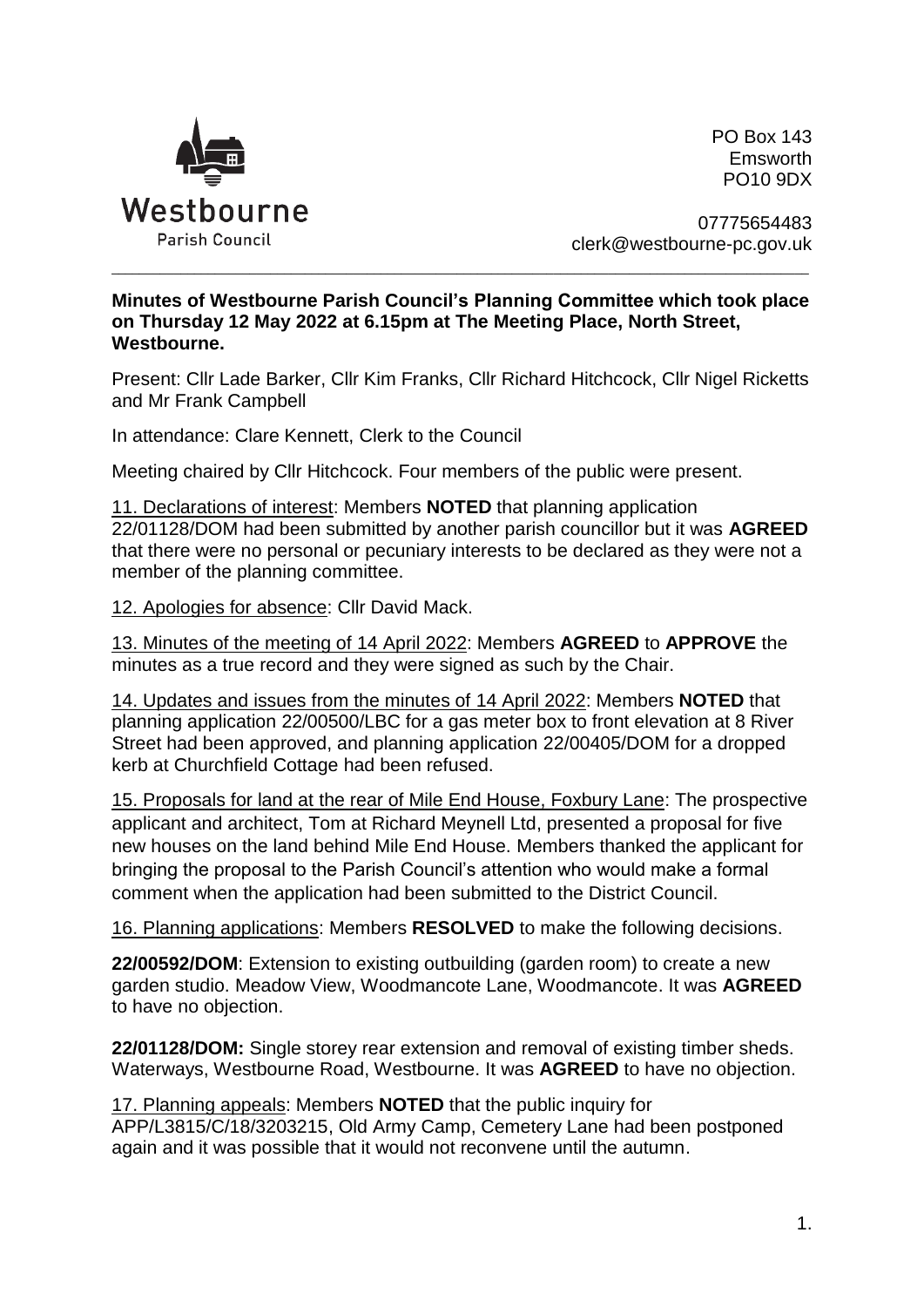

PO Box 143 Emsworth PO10 9DX

07775654483 clerk@westbourne-pc.gov.uk

## **Minutes of Westbourne Parish Council's Planning Committee which took place on Thursday 12 May 2022 at 6.15pm at The Meeting Place, North Street, Westbourne.**

\_\_\_\_\_\_\_\_\_\_\_\_\_\_\_\_\_\_\_\_\_\_\_\_\_\_\_\_\_\_\_\_\_\_\_\_\_\_\_\_\_\_\_\_\_\_\_\_\_\_\_\_\_\_\_\_\_\_\_\_\_\_\_\_\_\_\_\_\_\_\_\_\_\_\_\_\_\_\_\_\_\_\_\_\_\_\_\_\_\_\_\_\_\_\_\_\_\_\_\_\_

Present: Cllr Lade Barker, Cllr Kim Franks, Cllr Richard Hitchcock, Cllr Nigel Ricketts and Mr Frank Campbell

In attendance: Clare Kennett, Clerk to the Council

Meeting chaired by Cllr Hitchcock. Four members of the public were present.

11. Declarations of interest: Members **NOTED** that planning application 22/01128/DOM had been submitted by another parish councillor but it was **AGREED** that there were no personal or pecuniary interests to be declared as they were not a member of the planning committee.

12. Apologies for absence: Cllr David Mack.

13. Minutes of the meeting of 14 April 2022: Members **AGREED** to **APPROVE** the minutes as a true record and they were signed as such by the Chair.

14. Updates and issues from the minutes of 14 April 2022: Members **NOTED** that planning application 22/00500/LBC for a gas meter box to front elevation at 8 River Street had been approved, and planning application 22/00405/DOM for a dropped kerb at Churchfield Cottage had been refused.

15. Proposals for land at the rear of Mile End House, Foxbury Lane: The prospective applicant and architect, Tom at Richard Meynell Ltd, presented a proposal for five new houses on the land behind Mile End House. Members thanked the applicant for bringing the proposal to the Parish Council's attention who would make a formal comment when the application had been submitted to the District Council.

16. Planning applications: Members **RESOLVED** to make the following decisions.

**22/00592/DOM**: Extension to existing outbuilding (garden room) to create a new garden studio. Meadow View, Woodmancote Lane, Woodmancote. It was **AGREED** to have no objection.

**22/01128/DOM:** Single storey rear extension and removal of existing timber sheds. Waterways, Westbourne Road, Westbourne. It was **AGREED** to have no objection.

17. Planning appeals: Members **NOTED** that the public inquiry for APP/L3815/C/18/3203215, Old Army Camp, Cemetery Lane had been postponed again and it was possible that it would not reconvene until the autumn.